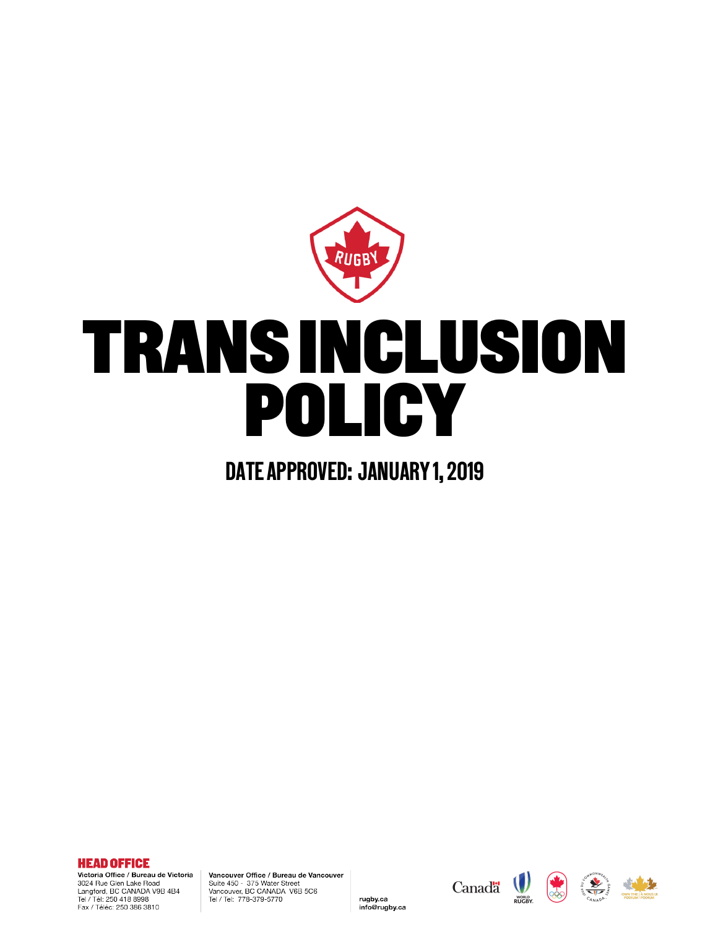

# TRANS INCLUSION POLICY

# DATE APPROVED: JANUARY 1, 2019

**HEAD OFFICE** Victoria Office / Bureau de Victoria 3024 Rue Glen Lake Road Langford, BC CANADA V9B 4B4<br>Tel / Tél: 250 418 8998

Fax / Téléc: 250 386 3810

Vancouver Office / Bureau de Vancouver Suite 450 - 375 Water Street Vancouver, BC CANADA V6B 5C6<br>Tel / Tel: 778-379-5770

rugby.ca

info@rugby.ca

Canada (



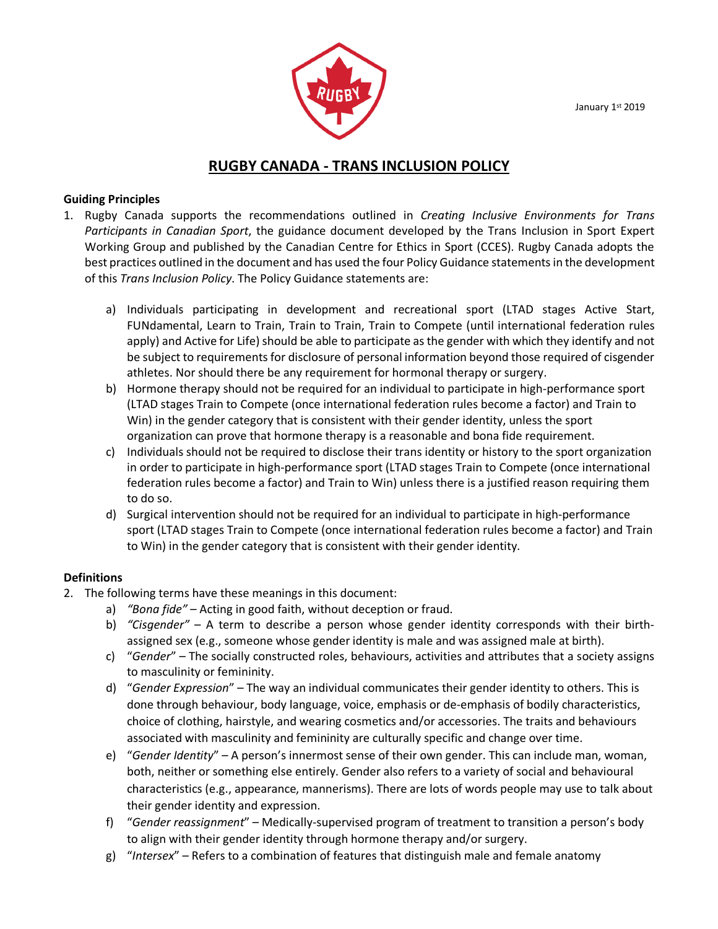January 1st 2019



# **RUGBY CANADA - TRANS INCLUSION POLICY**

## **Guiding Principles**

- 1. Rugby Canada supports the recommendations outlined in *Creating Inclusive Environments for Trans Participants in Canadian Sport*, the guidance document developed by the Trans Inclusion in Sport Expert Working Group and published by the Canadian Centre for Ethics in Sport (CCES). Rugby Canada adopts the best practices outlined in the document and has used the four Policy Guidance statements in the development of this *Trans Inclusion Policy*. The Policy Guidance statements are:
	- a) Individuals participating in development and recreational sport (LTAD stages Active Start, FUNdamental, Learn to Train, Train to Train, Train to Compete (until international federation rules apply) and Active for Life) should be able to participate as the gender with which they identify and not be subject to requirements for disclosure of personal information beyond those required of cisgender athletes. Nor should there be any requirement for hormonal therapy or surgery.
	- b) Hormone therapy should not be required for an individual to participate in high-performance sport (LTAD stages Train to Compete (once international federation rules become a factor) and Train to Win) in the gender category that is consistent with their gender identity, unless the sport organization can prove that hormone therapy is a reasonable and bona fide requirement.
	- c) Individuals should not be required to disclose their trans identity or history to the sport organization in order to participate in high-performance sport (LTAD stages Train to Compete (once international federation rules become a factor) and Train to Win) unless there is a justified reason requiring them to do so.
	- d) Surgical intervention should not be required for an individual to participate in high-performance sport (LTAD stages Train to Compete (once international federation rules become a factor) and Train to Win) in the gender category that is consistent with their gender identity.

# **Definitions**

- 2. The following terms have these meanings in this document:
	- a) *"Bona fide"* Acting in good faith, without deception or fraud.
	- b) *"Cisgender"* A term to describe a person whose gender identity corresponds with their birthassigned sex (e.g., someone whose gender identity is male and was assigned male at birth).
	- c) "*Gender*" The socially constructed roles, behaviours, activities and attributes that a society assigns to masculinity or femininity.
	- d) "*Gender Expression*" The way an individual communicates their gender identity to others. This is done through behaviour, body language, voice, emphasis or de-emphasis of bodily characteristics, choice of clothing, hairstyle, and wearing cosmetics and/or accessories. The traits and behaviours associated with masculinity and femininity are culturally specific and change over time.
	- e) "*Gender Identity*" A person's innermost sense of their own gender. This can include man, woman, both, neither or something else entirely. Gender also refers to a variety of social and behavioural characteristics (e.g., appearance, mannerisms). There are lots of words people may use to talk about their gender identity and expression.
	- f) "*Gender reassignment*" Medically-supervised program of treatment to transition a person's body to align with their gender identity through hormone therapy and/or surgery.
	- g) "*Intersex*" Refers to a combination of features that distinguish male and female anatomy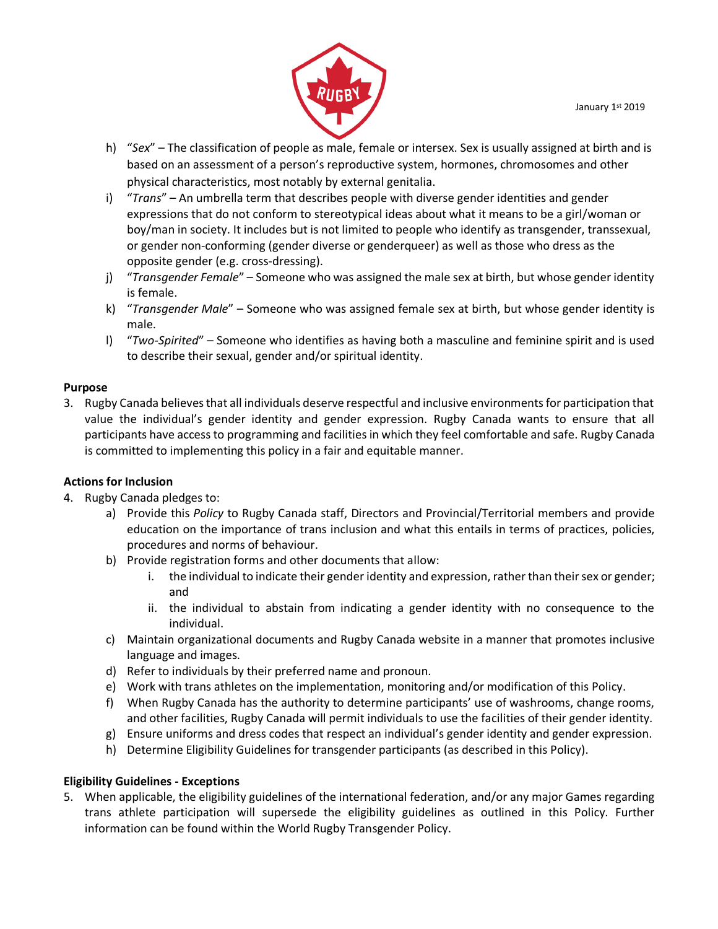

- h) "*Sex*" The classification of people as male, female or intersex. Sex is usually assigned at birth and is based on an assessment of a person's reproductive system, hormones, chromosomes and other physical characteristics, most notably by external genitalia.
- i) "*Trans*" An umbrella term that describes people with diverse gender identities and gender expressions that do not conform to stereotypical ideas about what it means to be a girl/woman or boy/man in society. It includes but is not limited to people who identify as transgender, transsexual, or gender non-conforming (gender diverse or genderqueer) as well as those who dress as the opposite gender (e.g. cross-dressing).
- j) "*Transgender Female*" Someone who was assigned the male sex at birth, but whose gender identity is female.
- k) "*Transgender Male*" Someone who was assigned female sex at birth, but whose gender identity is male.
- l) "*Two-Spirited*" Someone who identifies as having both a masculine and feminine spirit and is used to describe their sexual, gender and/or spiritual identity.

# **Purpose**

3. Rugby Canada believes that all individuals deserve respectful and inclusive environments for participation that value the individual's gender identity and gender expression. Rugby Canada wants to ensure that all participants have access to programming and facilities in which they feel comfortable and safe. Rugby Canada is committed to implementing this policy in a fair and equitable manner.

# **Actions for Inclusion**

- 4. Rugby Canada pledges to:
	- a) Provide this *Policy* to Rugby Canada staff, Directors and Provincial/Territorial members and provide education on the importance of trans inclusion and what this entails in terms of practices, policies, procedures and norms of behaviour.
	- b) Provide registration forms and other documents that allow:
		- i. the individual to indicate their gender identity and expression, rather than their sex or gender; and
		- ii. the individual to abstain from indicating a gender identity with no consequence to the individual.
	- c) Maintain organizational documents and Rugby Canada website in a manner that promotes inclusive language and images.
	- d) Refer to individuals by their preferred name and pronoun.
	- e) Work with trans athletes on the implementation, monitoring and/or modification of this Policy.
	- f) When Rugby Canada has the authority to determine participants' use of washrooms, change rooms, and other facilities, Rugby Canada will permit individuals to use the facilities of their gender identity.
	- g) Ensure uniforms and dress codes that respect an individual's gender identity and gender expression.
	- h) Determine Eligibility Guidelines for transgender participants (as described in this Policy).

# **Eligibility Guidelines - Exceptions**

5. When applicable, the eligibility guidelines of the international federation, and/or any major Games regarding trans athlete participation will supersede the eligibility guidelines as outlined in this Policy. Further information can be found within the World Rugby Transgender Policy.